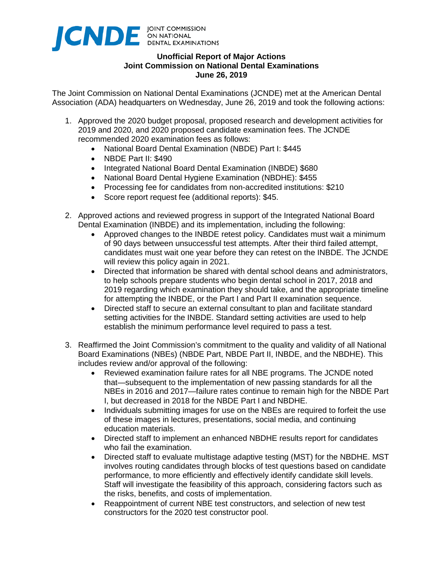

## **Unofficial Report of Major Actions Joint Commission on National Dental Examinations June 26, 2019**

The Joint Commission on National Dental Examinations (JCNDE) met at the American Dental Association (ADA) headquarters on Wednesday, June 26, 2019 and took the following actions:

- 1. Approved the 2020 budget proposal, proposed research and development activities for 2019 and 2020, and 2020 proposed candidate examination fees. The JCNDE recommended 2020 examination fees as follows:
	- National Board Dental Examination (NBDE) Part I: \$445
	- NBDE Part II: \$490
	- Integrated National Board Dental Examination (INBDE) \$680
	- National Board Dental Hygiene Examination (NBDHE): \$455
	- Processing fee for candidates from non-accredited institutions: \$210
	- Score report request fee (additional reports): \$45.
- 2. Approved actions and reviewed progress in support of the Integrated National Board Dental Examination (INBDE) and its implementation, including the following:
	- Approved changes to the INBDE retest policy. Candidates must wait a minimum of 90 days between unsuccessful test attempts. After their third failed attempt, candidates must wait one year before they can retest on the INBDE. The JCNDE will review this policy again in 2021.
	- Directed that information be shared with dental school deans and administrators, to help schools prepare students who begin dental school in 2017, 2018 and 2019 regarding which examination they should take, and the appropriate timeline for attempting the INBDE, or the Part I and Part II examination sequence.
	- Directed staff to secure an external consultant to plan and facilitate standard setting activities for the INBDE. Standard setting activities are used to help establish the minimum performance level required to pass a test.
- 3. Reaffirmed the Joint Commission's commitment to the quality and validity of all National Board Examinations (NBEs) (NBDE Part, NBDE Part II, INBDE, and the NBDHE). This includes review and/or approval of the following:
	- Reviewed examination failure rates for all NBE programs. The JCNDE noted that—subsequent to the implementation of new passing standards for all the NBEs in 2016 and 2017—failure rates continue to remain high for the NBDE Part I, but decreased in 2018 for the NBDE Part I and NBDHE.
	- Individuals submitting images for use on the NBEs are required to forfeit the use of these images in lectures, presentations, social media, and continuing education materials.
	- Directed staff to implement an enhanced NBDHE results report for candidates who fail the examination.
	- Directed staff to evaluate multistage adaptive testing (MST) for the NBDHE. MST involves routing candidates through blocks of test questions based on candidate performance, to more efficiently and effectively identify candidate skill levels. Staff will investigate the feasibility of this approach, considering factors such as the risks, benefits, and costs of implementation.
	- Reappointment of current NBE test constructors, and selection of new test constructors for the 2020 test constructor pool.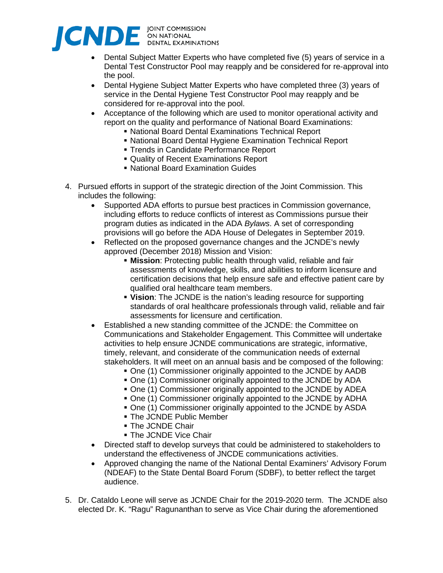

- Dental Subject Matter Experts who have completed five (5) years of service in a Dental Test Constructor Pool may reapply and be considered for re-approval into the pool.
- Dental Hygiene Subject Matter Experts who have completed three (3) years of service in the Dental Hygiene Test Constructor Pool may reapply and be considered for re-approval into the pool.
- Acceptance of the following which are used to monitor operational activity and report on the quality and performance of National Board Examinations:
	- National Board Dental Examinations Technical Report
	- National Board Dental Hygiene Examination Technical Report
	- **Trends in Candidate Performance Report**
	- Quality of Recent Examinations Report
	- National Board Examination Guides
- 4. Pursued efforts in support of the strategic direction of the Joint Commission. This includes the following:
	- Supported ADA efforts to pursue best practices in Commission governance, including efforts to reduce conflicts of interest as Commissions pursue their program duties as indicated in the ADA *Bylaws*. A set of corresponding provisions will go before the ADA House of Delegates in September 2019.
	- Reflected on the proposed governance changes and the JCNDE's newly approved (December 2018) Mission and Vision:
		- **Mission**: Protecting public health through valid, reliable and fair assessments of knowledge, skills, and abilities to inform licensure and certification decisions that help ensure safe and effective patient care by qualified oral healthcare team members.
		- **Vision**: The JCNDE is the nation's leading resource for supporting standards of oral healthcare professionals through valid, reliable and fair assessments for licensure and certification.
	- Established a new standing committee of the JCNDE: the Committee on Communications and Stakeholder Engagement. This Committee will undertake activities to help ensure JCNDE communications are strategic, informative, timely, relevant, and considerate of the communication needs of external stakeholders. It will meet on an annual basis and be composed of the following:
		- One (1) Commissioner originally appointed to the JCNDE by AADB
		- One (1) Commissioner originally appointed to the JCNDE by ADA
		- One (1) Commissioner originally appointed to the JCNDE by ADEA
		- One (1) Commissioner originally appointed to the JCNDE by ADHA
		- One (1) Commissioner originally appointed to the JCNDE by ASDA
		- **The JCNDE Public Member**
		- **The JCNDE Chair**
		- **The JCNDE Vice Chair**
	- Directed staff to develop surveys that could be administered to stakeholders to understand the effectiveness of JNCDE communications activities.
	- Approved changing the name of the National Dental Examiners' Advisory Forum (NDEAF) to the State Dental Board Forum (SDBF), to better reflect the target audience.
- 5. Dr. Cataldo Leone will serve as JCNDE Chair for the 2019-2020 term. The JCNDE also elected Dr. K. "Ragu" Ragunanthan to serve as Vice Chair during the aforementioned